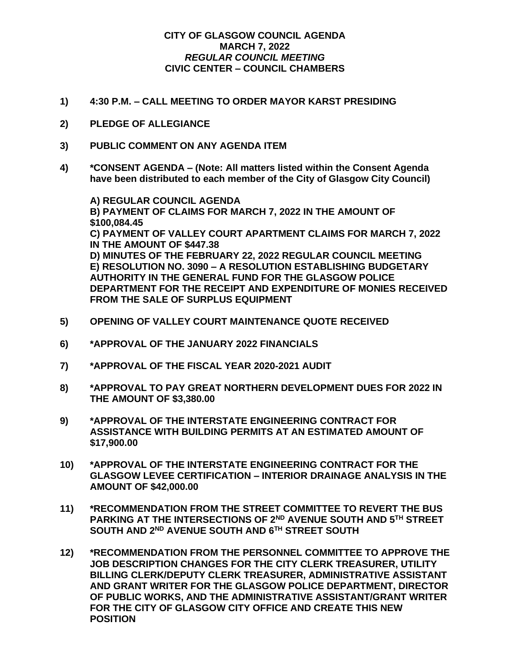## **CITY OF GLASGOW COUNCIL AGENDA MARCH 7, 2022** *REGULAR COUNCIL MEETING* **CIVIC CENTER – COUNCIL CHAMBERS**

- **1) 4:30 P.M. – CALL MEETING TO ORDER MAYOR KARST PRESIDING**
- **2) PLEDGE OF ALLEGIANCE**
- **3) PUBLIC COMMENT ON ANY AGENDA ITEM**
- **4) \*CONSENT AGENDA – (Note: All matters listed within the Consent Agenda have been distributed to each member of the City of Glasgow City Council)**

**A) REGULAR COUNCIL AGENDA B) PAYMENT OF CLAIMS FOR MARCH 7, 2022 IN THE AMOUNT OF \$100,084.45 C) PAYMENT OF VALLEY COURT APARTMENT CLAIMS FOR MARCH 7, 2022 IN THE AMOUNT OF \$447.38 D) MINUTES OF THE FEBRUARY 22, 2022 REGULAR COUNCIL MEETING E) RESOLUTION NO. 3090 – A RESOLUTION ESTABLISHING BUDGETARY AUTHORITY IN THE GENERAL FUND FOR THE GLASGOW POLICE DEPARTMENT FOR THE RECEIPT AND EXPENDITURE OF MONIES RECEIVED FROM THE SALE OF SURPLUS EQUIPMENT**

- **5) OPENING OF VALLEY COURT MAINTENANCE QUOTE RECEIVED**
- **6) \*APPROVAL OF THE JANUARY 2022 FINANCIALS**
- **7) \*APPROVAL OF THE FISCAL YEAR 2020-2021 AUDIT**
- **8) \*APPROVAL TO PAY GREAT NORTHERN DEVELOPMENT DUES FOR 2022 IN THE AMOUNT OF \$3,380.00**
- **9) \*APPROVAL OF THE INTERSTATE ENGINEERING CONTRACT FOR ASSISTANCE WITH BUILDING PERMITS AT AN ESTIMATED AMOUNT OF \$17,900.00**
- **10) \*APPROVAL OF THE INTERSTATE ENGINEERING CONTRACT FOR THE GLASGOW LEVEE CERTIFICATION – INTERIOR DRAINAGE ANALYSIS IN THE AMOUNT OF \$42,000.00**
- **11) \*RECOMMENDATION FROM THE STREET COMMITTEE TO REVERT THE BUS PARKING AT THE INTERSECTIONS OF 2ND AVENUE SOUTH AND 5TH STREET SOUTH AND 2ND AVENUE SOUTH AND 6TH STREET SOUTH**
- **12) \*RECOMMENDATION FROM THE PERSONNEL COMMITTEE TO APPROVE THE JOB DESCRIPTION CHANGES FOR THE CITY CLERK TREASURER, UTILITY BILLING CLERK/DEPUTY CLERK TREASURER, ADMINISTRATIVE ASSISTANT AND GRANT WRITER FOR THE GLASGOW POLICE DEPARTMENT, DIRECTOR OF PUBLIC WORKS, AND THE ADMINISTRATIVE ASSISTANT/GRANT WRITER FOR THE CITY OF GLASGOW CITY OFFICE AND CREATE THIS NEW POSITION**